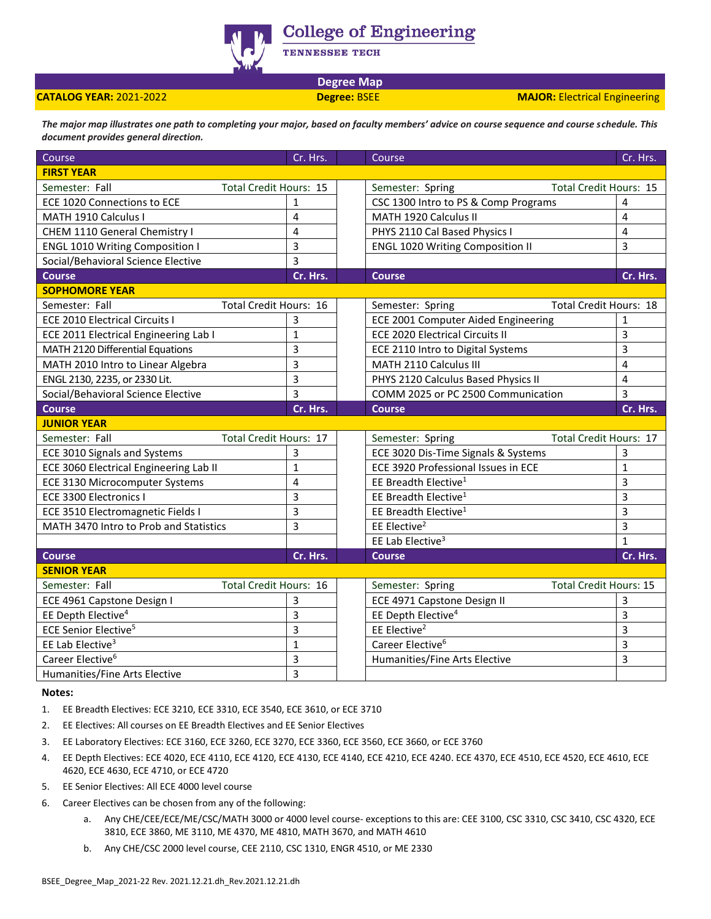

**College of Engineering** 

**TENNESSEE TECH** 

**Degree Map**

**CATALOG YEAR:** 2021-2022 **Degree:** BSEE **MAJOR:** Electrical Engineering

*The major map illustrates one path to completing your major, based on faculty members' advice on course sequence and course schedule. This document provides general direction.* 

| Course                                 | Cr. Hrs.                      |  | Course                                            | Cr. Hrs.                      |
|----------------------------------------|-------------------------------|--|---------------------------------------------------|-------------------------------|
| <b>FIRST YEAR</b>                      |                               |  |                                                   |                               |
| Semester: Fall                         | <b>Total Credit Hours: 15</b> |  | Semester: Spring                                  | <b>Total Credit Hours: 15</b> |
| ECE 1020 Connections to ECE            | $\mathbf{1}$                  |  | CSC 1300 Intro to PS & Comp Programs              | 4                             |
| MATH 1910 Calculus I                   | 4                             |  | MATH 1920 Calculus II                             | 4                             |
| CHEM 1110 General Chemistry I          | 4                             |  | PHYS 2110 Cal Based Physics I                     | 4                             |
| <b>ENGL 1010 Writing Composition I</b> | 3                             |  | <b>ENGL 1020 Writing Composition II</b>           | 3                             |
| Social/Behavioral Science Elective     | 3                             |  |                                                   |                               |
| <b>Course</b>                          | Cr. Hrs.                      |  | <b>Course</b>                                     | Cr. Hrs.                      |
| <b>SOPHOMORE YEAR</b>                  |                               |  |                                                   |                               |
| Semester: Fall                         | <b>Total Credit Hours: 16</b> |  | <b>Total Credit Hours: 18</b><br>Semester: Spring |                               |
| <b>ECE 2010 Electrical Circuits I</b>  | 3                             |  | ECE 2001 Computer Aided Engineering               | 1                             |
| ECE 2011 Electrical Engineering Lab I  | $\mathbf{1}$                  |  | <b>ECE 2020 Electrical Circuits II</b>            | 3                             |
| MATH 2120 Differential Equations       | 3                             |  | ECE 2110 Intro to Digital Systems                 | $\overline{3}$                |
| MATH 2010 Intro to Linear Algebra      | 3                             |  | MATH 2110 Calculus III                            | 4                             |
| ENGL 2130, 2235, or 2330 Lit.          | 3                             |  | PHYS 2120 Calculus Based Physics II               | 4                             |
| Social/Behavioral Science Elective     | 3                             |  | COMM 2025 or PC 2500 Communication                | 3                             |
| <b>Course</b>                          | Cr. Hrs.                      |  | <b>Course</b>                                     | Cr. Hrs.                      |
| <b>JUNIOR YEAR</b>                     |                               |  |                                                   |                               |
| Semester: Fall                         | <b>Total Credit Hours: 17</b> |  | Semester: Spring                                  | <b>Total Credit Hours: 17</b> |
| ECE 3010 Signals and Systems           | 3                             |  | ECE 3020 Dis-Time Signals & Systems               | 3                             |
| ECE 3060 Electrical Engineering Lab II | $\mathbf{1}$                  |  | ECE 3920 Professional Issues in ECE               | $\mathbf{1}$                  |
| ECE 3130 Microcomputer Systems         | $\overline{4}$                |  | EE Breadth Elective <sup>1</sup>                  | 3                             |
| ECE 3300 Electronics I                 | 3                             |  | EE Breadth Elective <sup>1</sup>                  | 3                             |
| ECE 3510 Electromagnetic Fields I      | 3                             |  | EE Breadth Elective <sup>1</sup>                  | 3                             |
| MATH 3470 Intro to Prob and Statistics | 3                             |  | EE Elective <sup>2</sup>                          | 3                             |
|                                        |                               |  | EE Lab Elective <sup>3</sup>                      | $\mathbf{1}$                  |
| <b>Course</b>                          | Cr. Hrs.                      |  | <b>Course</b>                                     | Cr. Hrs.                      |
| <b>SENIOR YEAR</b>                     |                               |  |                                                   |                               |
| Semester: Fall                         | <b>Total Credit Hours: 16</b> |  | <b>Total Credit Hours: 15</b><br>Semester: Spring |                               |
| ECE 4961 Capstone Design I             | 3                             |  | ECE 4971 Capstone Design II                       | 3                             |
| EE Depth Elective <sup>4</sup>         | 3                             |  | EE Depth Elective <sup>4</sup>                    | 3                             |
| <b>ECE Senior Elective<sup>5</sup></b> | 3                             |  | EE Elective <sup>2</sup>                          | 3                             |
| EE Lab Elective <sup>3</sup>           | $\mathbf 1$                   |  | Career Elective <sup>6</sup>                      | 3                             |
| Career Elective <sup>6</sup>           | 3                             |  | Humanities/Fine Arts Elective                     | 3                             |
| Humanities/Fine Arts Elective          | 3                             |  |                                                   |                               |

**Notes:**

1. EE Breadth Electives: ECE 3210, ECE 3310, ECE 3540, ECE 3610, or ECE 3710

- 2. EE Electives: All courses on EE Breadth Electives and EE Senior Electives
- 3. EE Laboratory Electives: ECE 3160, ECE 3260, ECE 3270, ECE 3360, ECE 3560, ECE 3660, or ECE 3760
- 4. EE Depth Electives: ECE 4020, ECE 4110, ECE 4120, ECE 4130, ECE 4140, ECE 4210, ECE 4240. ECE 4370, ECE 4510, ECE 4520, ECE 4610, ECE 4620, ECE 4630, ECE 4710, or ECE 4720
- 5. EE Senior Electives: All ECE 4000 level course
- 6. Career Electives can be chosen from any of the following:
	- a. Any CHE/CEE/ECE/ME/CSC/MATH 3000 or 4000 level course- exceptions to this are: CEE 3100, CSC 3310, CSC 3410, CSC 4320, ECE 3810, ECE 3860, ME 3110, ME 4370, ME 4810, MATH 3670, and MATH 4610
	- b. Any CHE/CSC 2000 level course, CEE 2110, CSC 1310, ENGR 4510, or ME 2330